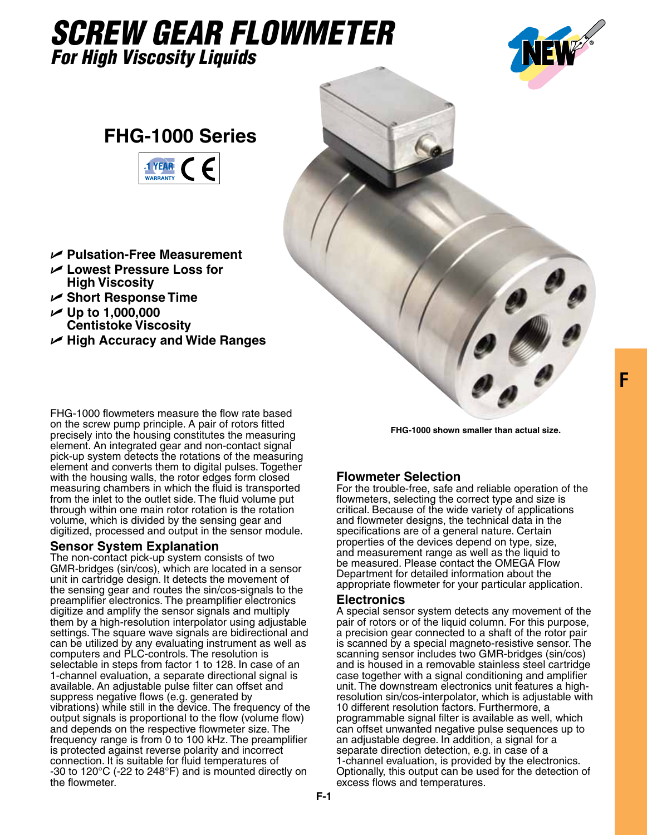# *SCREW GEAR FLOWMETER For High Viscosity Liquids*



## **FHG-1000 Series**



- U **Pulsation-Free Measurement**
- U **Lowest Pressure Loss for High Viscosity**
- U **Short Response Time**
- $\nu$  Up to 1,000,000 **Centistoke Viscosity**
- U **High Accuracy and Wide Ranges**



FHG-1000 flowmeters measure the flow rate based on the screw pump principle. A pair of rotors fitted precisely into the housing constitutes the measuring element. An integrated gear and non-contact signal pick-up system detects the rotations of the measuring element and converts them to digital pulses. Together with the housing walls, the rotor edges form closed measuring chambers in which the fluid is transported from the inlet to the outlet side. The fluid volume put through within one main rotor rotation is the rotation volume, which is divided by the sensing gear and digitized, processed and output in the sensor module.

#### **Sensor System Explanation**

The non-contact pick-up system consists of two GMR-bridges (sin/cos), which are located in a sensor unit in cartridge design. It detects the movement of the sensing gear and routes the sin/cos-signals to the preamplifier electronics. The preamplifier electronics digitize and amplify the sensor signals and multiply them by a high-resolution interpolator using adjustable settings. The square wave signals are bidirectional and can be utilized by any evaluating instrument as well as computers and PLC-controls. The resolution is selectable in steps from factor 1 to 128. In case of an 1-channel evaluation, a separate directional signal is available. An adjustable pulse filter can offset and suppress negative flows (e.g. generated by vibrations) while still in the device. The frequency of the output signals is proportional to the flow (volume flow) and depends on the respective flowmeter size. The frequency range is from 0 to 100 kHz. The preamplifier is protected against reverse polarity and incorrect connection. It is suitable for fluid temperatures of -30 to 120°C (-22 to 248°F) and is mounted directly on the flowmeter.

**FHG-1000 shown smaller than actual size.**

### **Flowmeter Selection**

For the trouble-free, safe and reliable operation of the flowmeters, selecting the correct type and size is critical. Because of the wide variety of applications and flowmeter designs, the technical data in the specifications are of a general nature. Certain properties of the devices depend on type, size, and measurement range as well as the liquid to be measured. Please contact the OMEGA Flow Department for detailed information about the appropriate flowmeter for your particular application.

#### **Electronics**

A special sensor system detects any movement of the pair of rotors or of the liquid column. For this purpose, a precision gear connected to a shaft of the rotor pair is scanned by a special magneto-resistive sensor. The scanning sensor includes two GMR-bridges (sin/cos) and is housed in a removable stainless steel cartridge case together with a signal conditioning and amplifier unit. The downstream electronics unit features a highresolution sin/cos-interpolator, which is adjustable with 10 different resolution factors. Furthermore, a programmable signal filter is available as well, which can offset unwanted negative pulse sequences up to an adjustable degree. In addition, a signal for a separate direction detection, e.g. in case of a 1-channel evaluation, is provided by the electronics. Optionally, this output can be used for the detection of excess flows and temperatures.

**F**